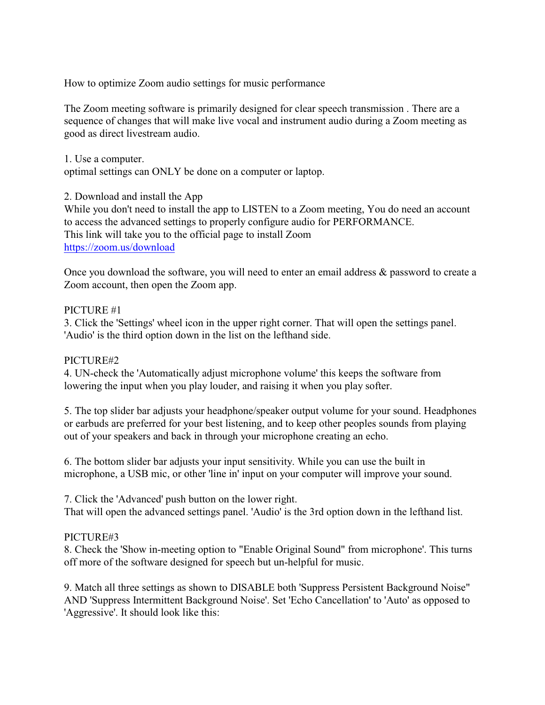How to optimize Zoom audio settings for music performance

The Zoom meeting software is primarily designed for clear speech transmission . There are a sequence of changes that will make live vocal and instrument audio during a Zoom meeting as good as direct livestream audio.

1. Use a computer.

optimal settings can ONLY be done on a computer or laptop.

2. Download and install the App

While you don't need to install the app to LISTEN to a Zoom meeting, You do need an account to access the advanced settings to properly configure audio for PERFORMANCE. This link will take you to the official page to install Zoom <https://zoom.us/download>

Once you download the software, you will need to enter an email address & password to create a Zoom account, then open the Zoom app.

## PICTURE #1

3. Click the 'Settings' wheel icon in the upper right corner. That will open the settings panel. 'Audio' is the third option down in the list on the lefthand side.

## PICTURE#2

4. UN-check the 'Automatically adjust microphone volume' this keeps the software from lowering the input when you play louder, and raising it when you play softer.

5. The top slider bar adjusts your headphone/speaker output volume for your sound. Headphones or earbuds are preferred for your best listening, and to keep other peoples sounds from playing out of your speakers and back in through your microphone creating an echo.

6. The bottom slider bar adjusts your input sensitivity. While you can use the built in microphone, a USB mic, or other 'line in' input on your computer will improve your sound.

7. Click the 'Advanced' push button on the lower right. That will open the advanced settings panel. 'Audio' is the 3rd option down in the lefthand list.

## PICTURE#3

8. Check the 'Show in-meeting option to "Enable Original Sound" from microphone'. This turns off more of the software designed for speech but un-helpful for music.

9. Match all three settings as shown to DISABLE both 'Suppress Persistent Background Noise" AND 'Suppress Intermittent Background Noise'. Set 'Echo Cancellation' to 'Auto' as opposed to 'Aggressive'. It should look like this: